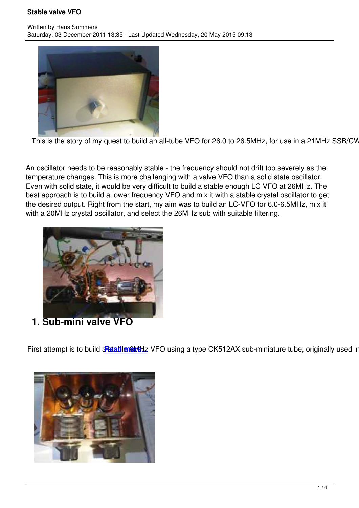

This is the story of my quest to build an all-tube VFO for 26.0 to 26.5MHz, for use in a 21MHz SSB/CW su

An oscillator needs to be reasonably stable - the frequency should not drift too severely as the temperature changes. This is more challenging with a valve VFO than a solid state oscillator. Even with solid state, it would be very difficult to build a stable enough LC VFO at 26MHz. The best approach is to build a lower frequency VFO and mix it with a stable crystal oscillator to get the desired output. Right from the start, my aim was to build an LC-VFO for 6.0-6.5MHz, mix it with a 20MHz crystal oscillator, and select the 26MHz sub with suitable filtering.



**1. Sub-mini valve VFO**

First attempt is to build aritable in the VFO using a type CK512AX sub-miniature tube, originally used in he

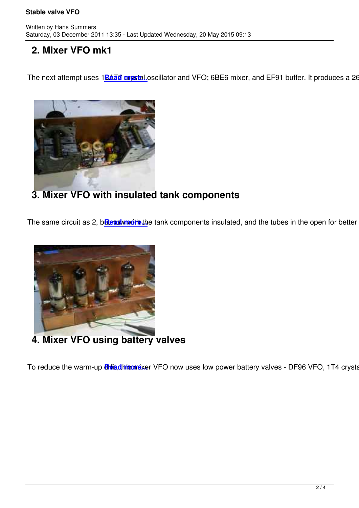## **2. Mixer VFO mk1**

Written by Hans Summers Summers Summers Summers Summers Summers Summers Summers Summers Summers Summers Summer

The next attempt uses 1BAT orgstal.oscillator and VFO; 6BE6 mixer, and EF91 buffer. It produces a 26.0-



## **3. Mixer VFO with insulated tank components**

The same circuit as 2, beleasion with the tank components insulated, and the tubes in the open for better ver



**4. Mixer VFO using battery valves**

To reduce the warm-up **Reiadhisorexer** VFO now uses low power battery valves - DF96 VFO, 1T4 crystal o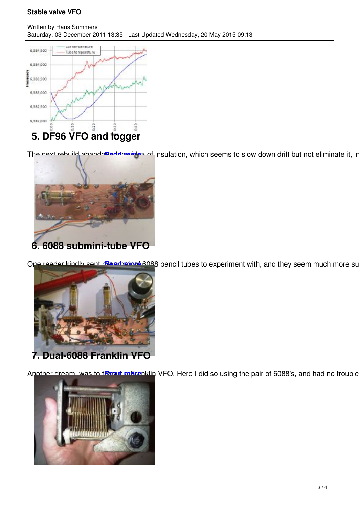

The next rebuild abando**Beddha inte**s of insulation, which seems to slow down drift but not eliminate it, inter



One reader kindly sent remarbeine 6088 pencil tubes to experiment with, and they seem much more suitat



Another dream, was to tRead makenklin VFO. Here I did so using the pair of 6088's, and had no trouble may